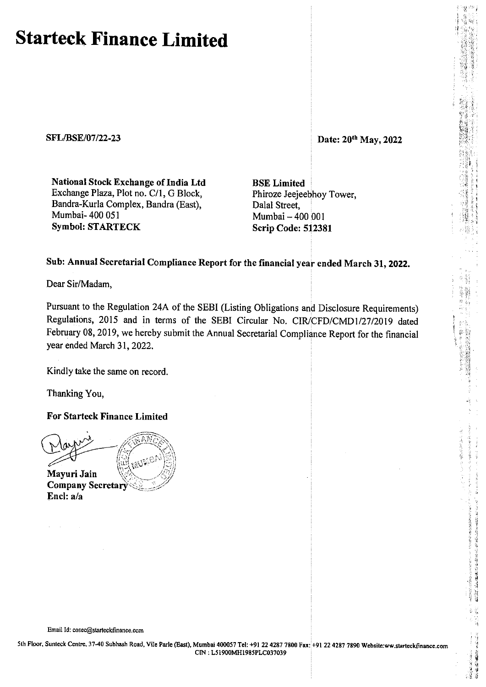## **Starteck Finance Limited**

**SFL/BSE/07 /22-23** 

**Date: 20th May, 2022** 

 $\frac{1}{2}$  $\delta_{\bf q}^{\rm in},\delta_{\bf q}^{\rm in}$  ;

;<br>;<br>;<br>;<br>;<br>;<br>;<br>;

'

'-' (, ,, \>; *'!* .,

簿

;

**National Stock Exchange of India Ltd**  Exchange Plaza, Plot no. C/1, G Block, Bandra-Kurla Complex, Bandra (East), Mumbai- 400 051 **Symbol: STARTECK** 

**BSE Limited**  Phiroze Jeejeebhoy Tower, Dalal Street, Mumbai-400 001 **Scrip Code: 512381** 

## **Sub: Annual Secretarial Compliance Report for the financial year ended March 31, 2022.**

Dear Sir/Madam,

Pursuant to the Regulation 24A of the SEBI (Listing Obligations and Disclosure Requirements) Regulations, 2015 and in terms of the SEBI Circular No. CIR/CFD/CMDl/27/2019 dated February 08, 2019, we hereby submit the Annual Secretarial Compliance Report for the financial year ended March 31, 2022.

Kindly take the same on record.

Thanking You,

**For Starteck Finance Limited** 

Mayuri Jain Company Secretary Encl: a/a

Email Id: cosec@starteckfinance.com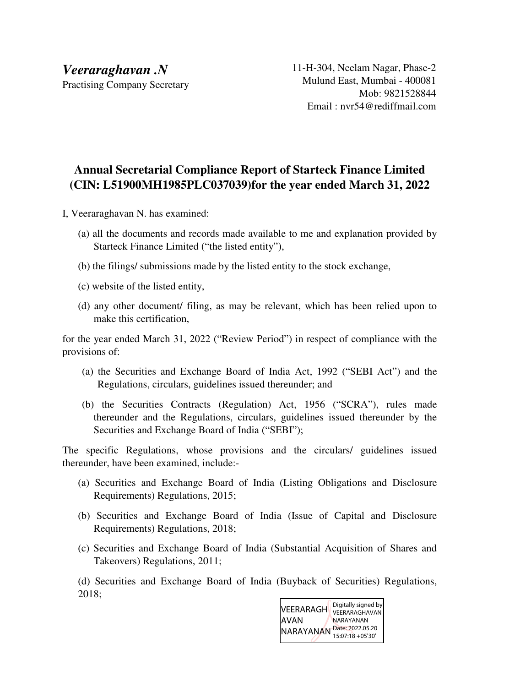## **Annual Secretarial Compliance Report of Starteck Finance Limited (CIN: L51900MH1985PLC037039)for the year ended March 31, 2022**

I, Veeraraghavan N. has examined:

- (a) all the documents and records made available to me and explanation provided by Starteck Finance Limited ("the listed entity"),
- (b) the filings/ submissions made by the listed entity to the stock exchange,
- (c) website of the listed entity,
- (d) any other document/ filing, as may be relevant, which has been relied upon to make this certification,

for the year ended March 31, 2022 ("Review Period") in respect of compliance with the provisions of:

- (a) the Securities and Exchange Board of India Act, 1992 ("SEBI Act") and the Regulations, circulars, guidelines issued thereunder; and
- (b) the Securities Contracts (Regulation) Act, 1956 ("SCRA"), rules made thereunder and the Regulations, circulars, guidelines issued thereunder by the Securities and Exchange Board of India ("SEBI");

The specific Regulations, whose provisions and the circulars/ guidelines issued thereunder, have been examined, include:-

- (a) Securities and Exchange Board of India (Listing Obligations and Disclosure Requirements) Regulations, 2015;
- (b) Securities and Exchange Board of India (Issue of Capital and Disclosure Requirements) Regulations, 2018;
- (c) Securities and Exchange Board of India (Substantial Acquisition of Shares and Takeovers) Regulations, 2011;

(d) Securities and Exchange Board of India (Buyback of Securities) Regulations, 2018;

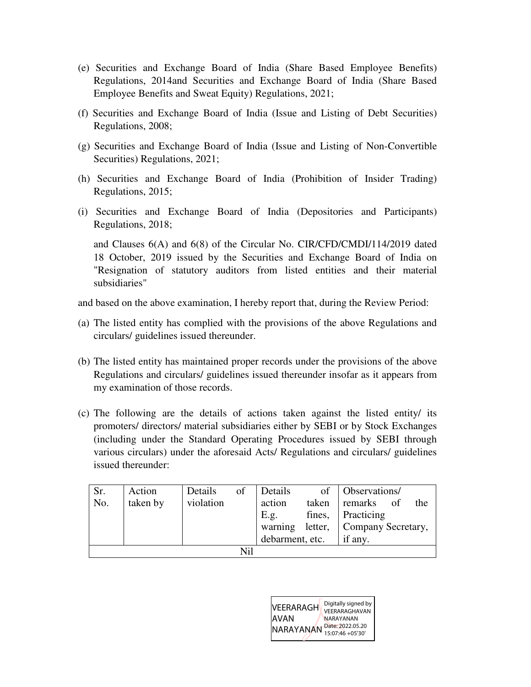- (e) Securities and Exchange Board of India (Share Based Employee Benefits) Regulations, 2014and Securities and Exchange Board of India (Share Based Employee Benefits and Sweat Equity) Regulations, 2021;
- (f) Securities and Exchange Board of India (Issue and Listing of Debt Securities) Regulations, 2008;
- (g) Securities and Exchange Board of India (Issue and Listing of Non-Convertible Securities) Regulations, 2021;
- (h) Securities and Exchange Board of India (Prohibition of Insider Trading) Regulations, 2015;
- (i) Securities and Exchange Board of India (Depositories and Participants) Regulations, 2018;

and Clauses 6(A) and 6(8) of the Circular No. CIR/CFD/CMDI/114/2019 dated 18 October, 2019 issued by the Securities and Exchange Board of India on "Resignation of statutory auditors from listed entities and their material subsidiaries"

and based on the above examination, I hereby report that, during the Review Period:

- (a) The listed entity has complied with the provisions of the above Regulations and circulars/ guidelines issued thereunder.
- (b) The listed entity has maintained proper records under the provisions of the above Regulations and circulars/ guidelines issued thereunder insofar as it appears from my examination of those records.
- (c) The following are the details of actions taken against the listed entity/ its promoters/ directors/ material subsidiaries either by SEBI or by Stock Exchanges (including under the Standard Operating Procedures issued by SEBI through various circulars) under the aforesaid Acts/ Regulations and circulars/ guidelines issued thereunder:

| Sr. | Action   | Details   | of | Details         |       | of   Observations/         |  |     |  |
|-----|----------|-----------|----|-----------------|-------|----------------------------|--|-----|--|
| No. | taken by | violation |    | action          | taken | remarks of                 |  | the |  |
|     |          |           |    | E.g.            |       | fines, Practicing          |  |     |  |
|     |          |           |    | warning         |       | letter, Company Secretary, |  |     |  |
|     |          |           |    | debarment, etc. |       | if any.                    |  |     |  |
| Nil |          |           |    |                 |       |                            |  |     |  |

| <b>VEERARAGH</b><br>IAVAN<br>NARAYANAN | Digitally signed by<br>VEERARAGHAVAN<br>NARAYANAN<br>Date: 2022.05.20<br>15:07:46 + 05'30' |
|----------------------------------------|--------------------------------------------------------------------------------------------|
|----------------------------------------|--------------------------------------------------------------------------------------------|